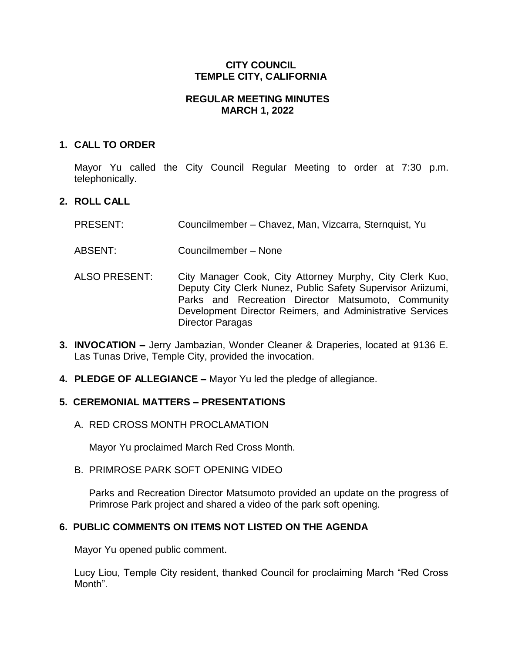### **CITY COUNCIL TEMPLE CITY, CALIFORNIA**

### **REGULAR MEETING MINUTES MARCH 1, 2022**

### **1. CALL TO ORDER**

Mayor Yu called the City Council Regular Meeting to order at 7:30 p.m. telephonically.

# **2. ROLL CALL**

- PRESENT: Councilmember Chavez, Man, Vizcarra, Sternquist, Yu
- ABSENT: Councilmember None
- ALSO PRESENT: City Manager Cook, City Attorney Murphy, City Clerk Kuo, Deputy City Clerk Nunez, Public Safety Supervisor Ariizumi, Parks and Recreation Director Matsumoto, Community Development Director Reimers, and Administrative Services Director Paragas
- **3. INVOCATION –** Jerry Jambazian, Wonder Cleaner & Draperies, located at 9136 E. Las Tunas Drive, Temple City, provided the invocation.
- **4. PLEDGE OF ALLEGIANCE –** Mayor Yu led the pledge of allegiance.

# **5. CEREMONIAL MATTERS – PRESENTATIONS**

A. RED CROSS MONTH PROCLAMATION

Mayor Yu proclaimed March Red Cross Month.

B. PRIMROSE PARK SOFT OPENING VIDEO

Parks and Recreation Director Matsumoto provided an update on the progress of Primrose Park project and shared a video of the park soft opening.

# **6. PUBLIC COMMENTS ON ITEMS NOT LISTED ON THE AGENDA**

Mayor Yu opened public comment.

Lucy Liou, Temple City resident, thanked Council for proclaiming March "Red Cross Month".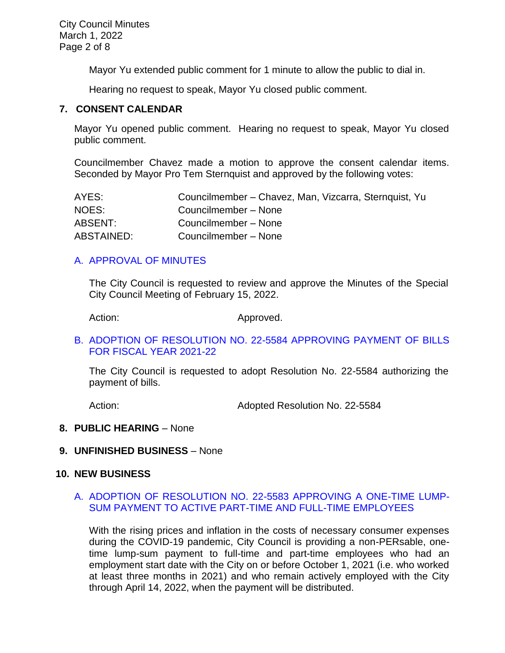Mayor Yu extended public comment for 1 minute to allow the public to dial in.

Hearing no request to speak, Mayor Yu closed public comment.

#### **7. CONSENT CALENDAR**

Mayor Yu opened public comment. Hearing no request to speak, Mayor Yu closed public comment.

Councilmember Chavez made a motion to approve the consent calendar items. Seconded by Mayor Pro Tem Sternquist and approved by the following votes:

| AYES:      | Councilmember - Chavez, Man, Vizcarra, Sternquist, Yu |
|------------|-------------------------------------------------------|
| NOES:      | Councilmember – None                                  |
| ABSENT:    | Councilmember - None                                  |
| ABSTAINED: | Councilmember - None                                  |

### [A. APPROVAL OF MINUTES](https://www.ci.temple-city.ca.us/DocumentCenter/View/17530/02-7A_CCM---2022-02-15)

The City Council is requested to review and approve the Minutes of the Special City Council Meeting of February 15, 2022.

Action: Approved.

#### B. [ADOPTION OF RESOLUTION NO. 22-5584](https://www.ci.temple-city.ca.us/DocumentCenter/View/17531/03-7B_CC-Warrant_Reso-No-22-5584_2022-03-01_with-attachments-v1) APPROVING PAYMENT OF BILLS [FOR FISCAL YEAR 2021-22](https://www.ci.temple-city.ca.us/DocumentCenter/View/17531/03-7B_CC-Warrant_Reso-No-22-5584_2022-03-01_with-attachments-v1)

The City Council is requested to adopt Resolution No. 22-5584 authorizing the payment of bills.

Action: **Adopted Resolution No. 22-5584** 

#### **8. PUBLIC HEARING** – None

**9. UNFINISHED BUSINESS** – None

### **10. NEW BUSINESS**

### A. [ADOPTION OF RESOLUTION NO. 22-5583 APPROVING A ONE-TIME LUMP-](https://www.ci.temple-city.ca.us/DocumentCenter/View/17532/04-10A_One-time-lump-sum-payment---Staff-Report_v3)[SUM PAYMENT TO ACTIVE PART-TIME AND FULL-TIME EMPLOYEES](https://www.ci.temple-city.ca.us/DocumentCenter/View/17532/04-10A_One-time-lump-sum-payment---Staff-Report_v3)

With the rising prices and inflation in the costs of necessary consumer expenses during the COVID-19 pandemic, City Council is providing a non-PERsable, onetime lump-sum payment to full-time and part-time employees who had an employment start date with the City on or before October 1, 2021 (i.e. who worked at least three months in 2021) and who remain actively employed with the City through April 14, 2022, when the payment will be distributed.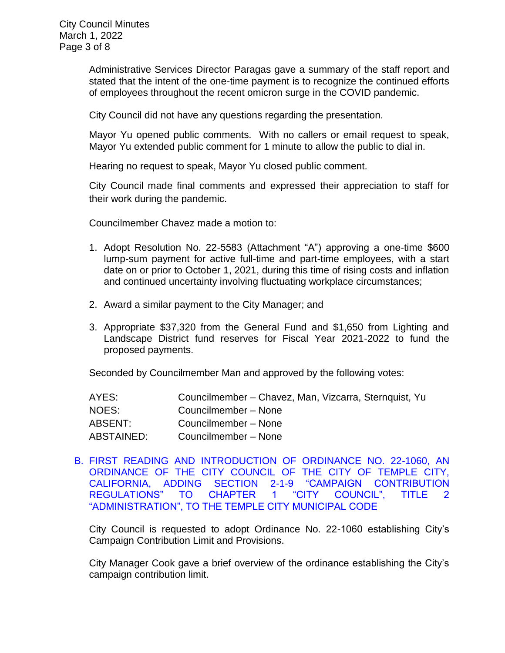Administrative Services Director Paragas gave a summary of the staff report and stated that the intent of the one-time payment is to recognize the continued efforts of employees throughout the recent omicron surge in the COVID pandemic.

City Council did not have any questions regarding the presentation.

Mayor Yu opened public comments. With no callers or email request to speak, Mayor Yu extended public comment for 1 minute to allow the public to dial in.

Hearing no request to speak, Mayor Yu closed public comment.

City Council made final comments and expressed their appreciation to staff for their work during the pandemic.

Councilmember Chavez made a motion to:

- 1. Adopt Resolution No. 22-5583 (Attachment "A") approving a one-time \$600 lump-sum payment for active full-time and part-time employees, with a start date on or prior to October 1, 2021, during this time of rising costs and inflation and continued uncertainty involving fluctuating workplace circumstances;
- 2. Award a similar payment to the City Manager; and
- 3. Appropriate \$37,320 from the General Fund and \$1,650 from Lighting and Landscape District fund reserves for Fiscal Year 2021-2022 to fund the proposed payments.

Seconded by Councilmember Man and approved by the following votes:

| AYES:      | Councilmember - Chavez, Man, Vizcarra, Sternquist, Yu |
|------------|-------------------------------------------------------|
| NOES:      | Councilmember - None                                  |
| ABSENT:    | Councilmember - None                                  |
| ABSTAINED: | Councilmember - None                                  |

B. [FIRST READING AND INTRODUCTION OF ORDINANCE NO. 22-1060, AN](https://www.ci.temple-city.ca.us/DocumentCenter/View/17533/05-10B_Campaign-Contribution-Limit-Ordinance-22-1060-Staff-Report---v2)  [ORDINANCE OF THE CITY COUNCIL OF THE CITY OF TEMPLE CITY,](https://www.ci.temple-city.ca.us/DocumentCenter/View/17533/05-10B_Campaign-Contribution-Limit-Ordinance-22-1060-Staff-Report---v2)  [CALIFORNIA, ADDING SECTION 2-1-9 "CAMPAIGN CONTRIBUTION](https://www.ci.temple-city.ca.us/DocumentCenter/View/17533/05-10B_Campaign-Contribution-Limit-Ordinance-22-1060-Staff-Report---v2)  [REGULATIONS" TO CHAPTER 1 "CITY COUNCIL", TITLE 2](https://www.ci.temple-city.ca.us/DocumentCenter/View/17533/05-10B_Campaign-Contribution-Limit-Ordinance-22-1060-Staff-Report---v2)  ["ADMINISTRATION", TO THE TEMPLE CITY MUNICIPAL CODE](https://www.ci.temple-city.ca.us/DocumentCenter/View/17533/05-10B_Campaign-Contribution-Limit-Ordinance-22-1060-Staff-Report---v2)

City Council is requested to adopt Ordinance No. 22-1060 establishing City's Campaign Contribution Limit and Provisions.

City Manager Cook gave a brief overview of the ordinance establishing the City's campaign contribution limit.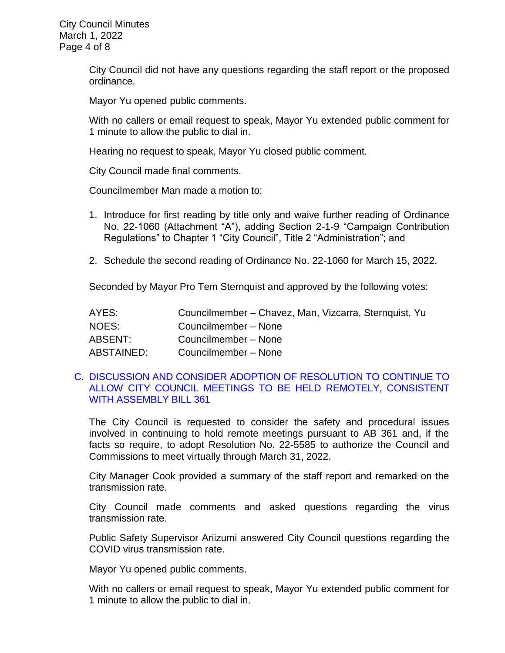City Council did not have any questions regarding the staff report or the proposed ordinance.

Mayor Yu opened public comments.

With no callers or email request to speak, Mayor Yu extended public comment for 1 minute to allow the public to dial in.

Hearing no request to speak, Mayor Yu closed public comment.

City Council made final comments.

Councilmember Man made a motion to:

- 1. Introduce for first reading by title only and waive further reading of Ordinance No. 22-1060 (Attachment "A"), adding Section 2-1-9 "Campaign Contribution Regulations" to Chapter 1 "City Council", Title 2 "Administration"; and
- 2. Schedule the second reading of Ordinance No. 22-1060 for March 15, 2022.

Seconded by Mayor Pro Tem Sternquist and approved by the following votes:

| AYES:      | Councilmember - Chavez, Man, Vizcarra, Sternquist, Yu |
|------------|-------------------------------------------------------|
| NOES:      | Councilmember - None                                  |
| ABSENT:    | Councilmember - None                                  |
| ABSTAINED: | Councilmember - None                                  |

### C. [DISCUSSION AND CONSIDER ADOPTION OF RESOLUTION TO CONTINUE TO](https://www.ci.temple-city.ca.us/DocumentCenter/View/17534/06-10C_Remote-Meeting_Staff-Report)  [ALLOW CITY COUNCIL MEETINGS TO BE HELD REMOTELY, CONSISTENT](https://www.ci.temple-city.ca.us/DocumentCenter/View/17534/06-10C_Remote-Meeting_Staff-Report)  [WITH ASSEMBLY BILL 361](https://www.ci.temple-city.ca.us/DocumentCenter/View/17534/06-10C_Remote-Meeting_Staff-Report)

The City Council is requested to consider the safety and procedural issues involved in continuing to hold remote meetings pursuant to AB 361 and, if the facts so require, to adopt Resolution No. 22-5585 to authorize the Council and Commissions to meet virtually through March 31, 2022.

City Manager Cook provided a summary of the staff report and remarked on the transmission rate.

City Council made comments and asked questions regarding the virus transmission rate.

Public Safety Supervisor Ariizumi answered City Council questions regarding the COVID virus transmission rate.

Mayor Yu opened public comments.

With no callers or email request to speak, Mayor Yu extended public comment for 1 minute to allow the public to dial in.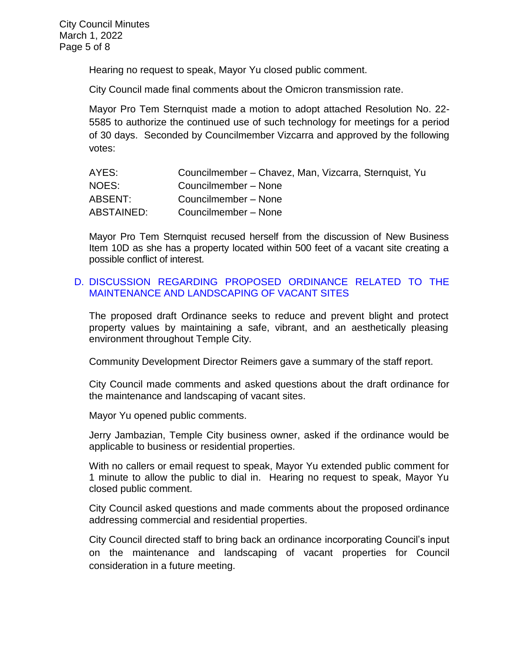Hearing no request to speak, Mayor Yu closed public comment.

City Council made final comments about the Omicron transmission rate.

Mayor Pro Tem Sternquist made a motion to adopt attached Resolution No. 22- 5585 to authorize the continued use of such technology for meetings for a period of 30 days. Seconded by Councilmember Vizcarra and approved by the following votes:

| AYES:      | Councilmember - Chavez, Man, Vizcarra, Sternquist, Yu |
|------------|-------------------------------------------------------|
| NOES:      | Councilmember - None                                  |
| ABSENT:    | Councilmember - None                                  |
| ABSTAINED: | Councilmember - None                                  |

Mayor Pro Tem Sternquist recused herself from the discussion of New Business Item 10D as she has a property located within 500 feet of a vacant site creating a possible conflict of interest.

### D. [DISCUSSION REGARDING PROPOSED ORDINANCE RELATED TO THE](https://www.ci.temple-city.ca.us/DocumentCenter/View/17535/07-10D_Vacant-Property-Ordinance-Discussion_Staff-Report-v5)  [MAINTENANCE AND LANDSCAPING OF VACANT SITES](https://www.ci.temple-city.ca.us/DocumentCenter/View/17535/07-10D_Vacant-Property-Ordinance-Discussion_Staff-Report-v5)

The proposed draft Ordinance seeks to reduce and prevent blight and protect property values by maintaining a safe, vibrant, and an aesthetically pleasing environment throughout Temple City.

Community Development Director Reimers gave a summary of the staff report.

City Council made comments and asked questions about the draft ordinance for the maintenance and landscaping of vacant sites.

Mayor Yu opened public comments.

Jerry Jambazian, Temple City business owner, asked if the ordinance would be applicable to business or residential properties.

With no callers or email request to speak, Mayor Yu extended public comment for 1 minute to allow the public to dial in. Hearing no request to speak, Mayor Yu closed public comment.

City Council asked questions and made comments about the proposed ordinance addressing commercial and residential properties.

City Council directed staff to bring back an ordinance incorporating Council's input on the maintenance and landscaping of vacant properties for Council consideration in a future meeting.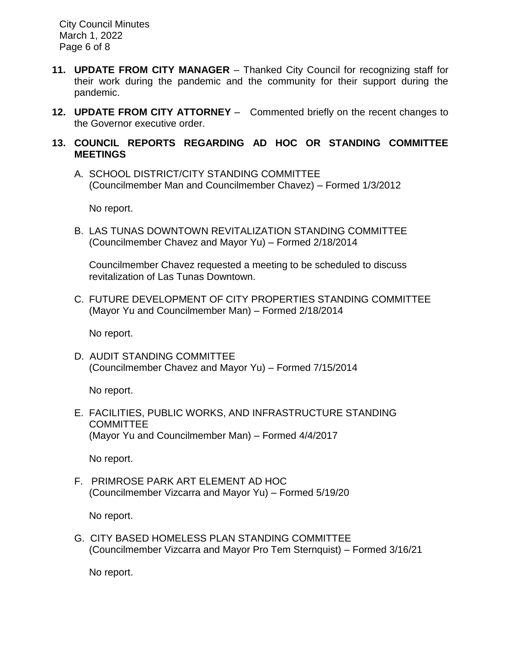City Council Minutes March 1, 2022 Page 6 of 8

- **11. UPDATE FROM CITY MANAGER**  Thanked City Council for recognizing staff for their work during the pandemic and the community for their support during the pandemic.
- **12. UPDATE FROM CITY ATTORNEY**  Commented briefly on the recent changes to the Governor executive order.

### **13. COUNCIL REPORTS REGARDING AD HOC OR STANDING COMMITTEE MEETINGS**

A. SCHOOL DISTRICT/CITY STANDING COMMITTEE (Councilmember Man and Councilmember Chavez) – Formed 1/3/2012

No report.

B. LAS TUNAS DOWNTOWN REVITALIZATION STANDING COMMITTEE (Councilmember Chavez and Mayor Yu) – Formed 2/18/2014

Councilmember Chavez requested a meeting to be scheduled to discuss revitalization of Las Tunas Downtown.

C. FUTURE DEVELOPMENT OF CITY PROPERTIES STANDING COMMITTEE (Mayor Yu and Councilmember Man) – Formed 2/18/2014

No report.

D. AUDIT STANDING COMMITTEE (Councilmember Chavez and Mayor Yu) – Formed 7/15/2014

No report.

E. FACILITIES, PUBLIC WORKS, AND INFRASTRUCTURE STANDING COMMITTEE (Mayor Yu and Councilmember Man) – Formed 4/4/2017

No report.

F. PRIMROSE PARK ART ELEMENT AD HOC (Councilmember Vizcarra and Mayor Yu) – Formed 5/19/20

No report.

G. CITY BASED HOMELESS PLAN STANDING COMMITTEE (Councilmember Vizcarra and Mayor Pro Tem Sternquist) – Formed 3/16/21

No report.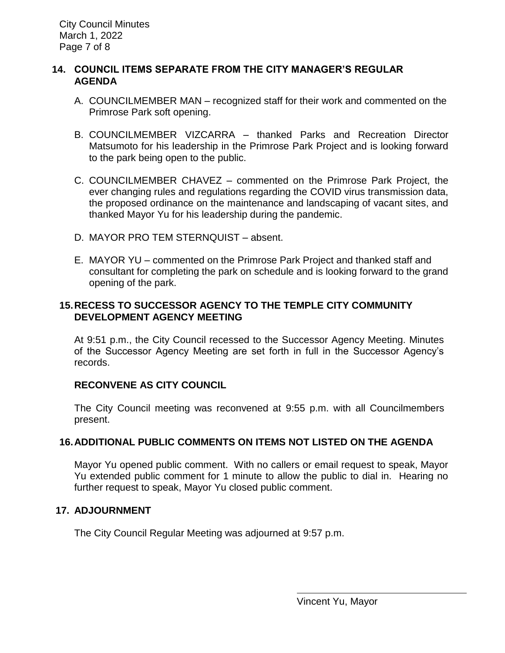### **14. COUNCIL ITEMS SEPARATE FROM THE CITY MANAGER'S REGULAR AGENDA**

- A. COUNCILMEMBER MAN recognized staff for their work and commented on the Primrose Park soft opening.
- B. COUNCILMEMBER VIZCARRA thanked Parks and Recreation Director Matsumoto for his leadership in the Primrose Park Project and is looking forward to the park being open to the public.
- C. COUNCILMEMBER CHAVEZ commented on the Primrose Park Project, the ever changing rules and regulations regarding the COVID virus transmission data, the proposed ordinance on the maintenance and landscaping of vacant sites, and thanked Mayor Yu for his leadership during the pandemic.
- D. MAYOR PRO TEM STERNQUIST absent.
- E. MAYOR YU commented on the Primrose Park Project and thanked staff and consultant for completing the park on schedule and is looking forward to the grand opening of the park.

### **15.RECESS TO SUCCESSOR AGENCY TO THE TEMPLE CITY COMMUNITY DEVELOPMENT AGENCY MEETING**

At 9:51 p.m., the City Council recessed to the Successor Agency Meeting. Minutes of the Successor Agency Meeting are set forth in full in the Successor Agency's records.

# **RECONVENE AS CITY COUNCIL**

The City Council meeting was reconvened at 9:55 p.m. with all Councilmembers present.

# **16.ADDITIONAL PUBLIC COMMENTS ON ITEMS NOT LISTED ON THE AGENDA**

Mayor Yu opened public comment. With no callers or email request to speak, Mayor Yu extended public comment for 1 minute to allow the public to dial in. Hearing no further request to speak, Mayor Yu closed public comment.

# **17. ADJOURNMENT**

The City Council Regular Meeting was adjourned at 9:57 p.m.